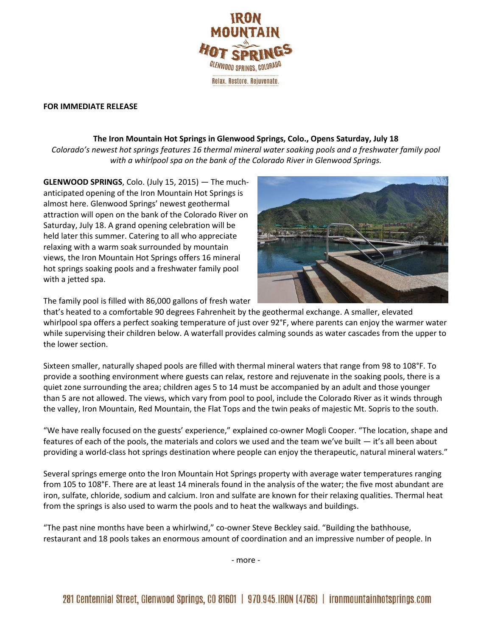

## **FOR IMMEDIATE RELEASE**

## **The Iron Mountain Hot Springs in Glenwood Springs, Colo., Opens Saturday, July 18**

*Colorado's newest hot springs features 16 thermal mineral water soaking pools and a freshwater family pool with a whirlpool spa on the bank of the Colorado River in Glenwood Springs.*

**GLENWOOD SPRINGS**, Colo. (July 15, 2015) — The muchanticipated opening of the Iron Mountain Hot Springs is almost here. Glenwood Springs' newest geothermal attraction will open on the bank of the Colorado River on Saturday, July 18. A grand opening celebration will be held later this summer. Catering to all who appreciate relaxing with a warm soak surrounded by mountain views, the Iron Mountain Hot Springs offers 16 mineral hot springs soaking pools and a freshwater family pool with a jetted spa.



The family pool is filled with 86,000 gallons of fresh water

that's heated to a comfortable 90 degrees Fahrenheit by the geothermal exchange. A smaller, elevated whirlpool spa offers a perfect soaking temperature of just over 92°F, where parents can enjoy the warmer water while supervising their children below. A waterfall provides calming sounds as water cascades from the upper to the lower section.

Sixteen smaller, naturally shaped pools are filled with thermal mineral waters that range from 98 to 108°F. To provide a soothing environment where guests can relax, restore and rejuvenate in the soaking pools, there is a quiet zone surrounding the area; children ages 5 to 14 must be accompanied by an adult and those younger than 5 are not allowed. The views, which vary from pool to pool, include the Colorado River as it winds through the valley, Iron Mountain, Red Mountain, the Flat Tops and the twin peaks of majestic Mt. Sopris to the south.

"We have really focused on the guests' experience," explained co-owner Mogli Cooper. "The location, shape and features of each of the pools, the materials and colors we used and the team we've built — it's all been about providing a world-class hot springs destination where people can enjoy the therapeutic, natural mineral waters."

Several springs emerge onto the Iron Mountain Hot Springs property with average water temperatures ranging from 105 to 108°F. There are at least 14 minerals found in the analysis of the water; the five most abundant are iron, sulfate, chloride, sodium and calcium. Iron and sulfate are known for their relaxing qualities. Thermal heat from the springs is also used to warm the pools and to heat the walkways and buildings.

"The past nine months have been a whirlwind," co-owner Steve Beckley said. "Building the bathhouse, restaurant and 18 pools takes an enormous amount of coordination and an impressive number of people. In

- more -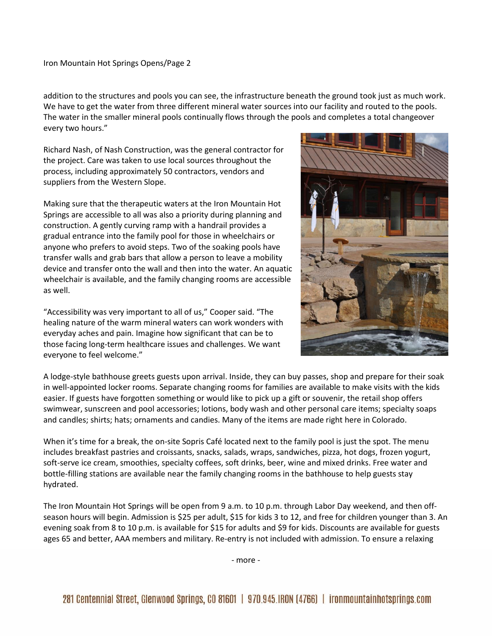Iron Mountain Hot Springs Opens/Page 2

addition to the structures and pools you can see, the infrastructure beneath the ground took just as much work. We have to get the water from three different mineral water sources into our facility and routed to the pools. The water in the smaller mineral pools continually flows through the pools and completes a total changeover every two hours."

Richard Nash, of Nash Construction, was the general contractor for the project. Care was taken to use local sources throughout the process, including approximately 50 contractors, vendors and suppliers from the Western Slope.

Making sure that the therapeutic waters at the Iron Mountain Hot Springs are accessible to all was also a priority during planning and construction. A gently curving ramp with a handrail provides a gradual entrance into the family pool for those in wheelchairs or anyone who prefers to avoid steps. Two of the soaking pools have transfer walls and grab bars that allow a person to leave a mobility device and transfer onto the wall and then into the water. An aquatic wheelchair is available, and the family changing rooms are accessible as well.

"Accessibility was very important to all of us," Cooper said. "The healing nature of the warm mineral waters can work wonders with everyday aches and pain. Imagine how significant that can be to those facing long-term healthcare issues and challenges. We want everyone to feel welcome."



A lodge-style bathhouse greets guests upon arrival. Inside, they can buy passes, shop and prepare for their soak in well-appointed locker rooms. Separate changing rooms for families are available to make visits with the kids easier. If guests have forgotten something or would like to pick up a gift or souvenir, the retail shop offers swimwear, sunscreen and pool accessories; lotions, body wash and other personal care items; specialty soaps and candles; shirts; hats; ornaments and candies. Many of the items are made right here in Colorado.

When it's time for a break, the on-site Sopris Café located next to the family pool is just the spot. The menu includes breakfast pastries and croissants, snacks, salads, wraps, sandwiches, pizza, hot dogs, frozen yogurt, soft-serve ice cream, smoothies, specialty coffees, soft drinks, beer, wine and mixed drinks. Free water and bottle-filling stations are available near the family changing rooms in the bathhouse to help guests stay hydrated.

The Iron Mountain Hot Springs will be open from 9 a.m. to 10 p.m. through Labor Day weekend, and then offseason hours will begin. Admission is \$25 per adult, \$15 for kids 3 to 12, and free for children younger than 3. An evening soak from 8 to 10 p.m. is available for \$15 for adults and \$9 for kids. Discounts are available for guests ages 65 and better, AAA members and military. Re-entry is not included with admission. To ensure a relaxing

- more -